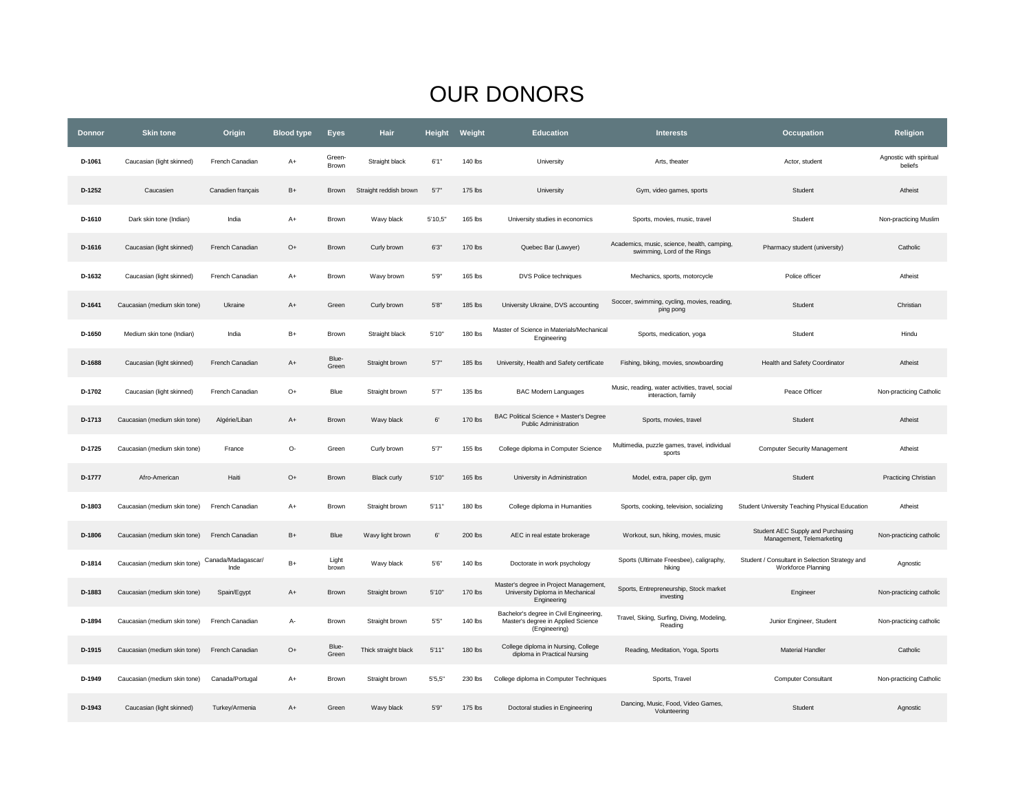## OUR DONORS

| <b>Donnor</b> | <b>Skin tone</b>             | Origin                     | <b>Blood type</b> | <b>Eyes</b>     | <b>Hair</b>            | Height    | Weight  | <b>Education</b>                                                                               | <b>Interests</b>                                                           | Occupation                                                           | <b>Religion</b>                    |
|---------------|------------------------------|----------------------------|-------------------|-----------------|------------------------|-----------|---------|------------------------------------------------------------------------------------------------|----------------------------------------------------------------------------|----------------------------------------------------------------------|------------------------------------|
| D-1061        | Caucasian (light skinned)    | French Canadian            | $A+$              | Green-<br>Brown | Straight black         | 6'1''     | 140 lbs | University                                                                                     | Arts, theater                                                              | Actor, student                                                       | Agnostic with spiritual<br>beliefs |
| D-1252        | Caucasien                    | Canadien français          | $B+$              | Brown           | Straight reddish brown | 5'7'      | 175 lbs | University                                                                                     | Gym, video games, sports                                                   | Student                                                              | Atheist                            |
| D-1610        | Dark skin tone (Indian)      | India                      | $A+$              | Brown           | Wavy black             | 5'10,5"   | 165 lbs | University studies in economics                                                                | Sports, movies, music, travel                                              | Student                                                              | Non-practicing Muslim              |
| D-1616        | Caucasian (light skinned)    | French Canadian            | $O+$              | Brown           | Curly brown            | 6'3''     | 170 lbs | Quebec Bar (Lawyer)                                                                            | Academics, music, science, health, camping,<br>swimming, Lord of the Rings | Pharmacy student (university)                                        | Catholic                           |
| D-1632        | Caucasian (light skinned)    | French Canadian            | $A+$              | Brown           | Wavy brown             | 5'9"      | 165 lbs | DVS Police techniques                                                                          | Mechanics, sports, motorcycle                                              | Police officer                                                       | Atheist                            |
| D-1641        | Caucasian (medium skin tone) | Ukraine                    | $A+$              | Green           | Curly brown            | 5'8''     | 185 lbs | University Ukraine, DVS accounting                                                             | Soccer, swimming, cycling, movies, reading,<br>ping pong                   | Student                                                              | Christian                          |
| D-1650        | Medium skin tone (Indian)    | India                      | $B+$              | Brown           | Straight black         | 5'10"     | 180 lbs | Master of Science in Materials/Mechanical<br>Engineering                                       | Sports, medication, yoga                                                   | Student                                                              | Hindu                              |
| D-1688        | Caucasian (light skinned)    | French Canadian            | $A+$              | Blue-<br>Green  | Straight brown         | 5'7''     | 185 lbs | University, Health and Safety certificate                                                      | Fishing, biking, movies, snowboarding                                      | Health and Safety Coordinator                                        | Atheist                            |
| D-1702        | Caucasian (light skinned)    | French Canadian            | $O+$              | Blue            | Straight brown         | 5'7''     | 135 lbs | <b>BAC Modern Languages</b>                                                                    | Music, reading, water activities, travel, social<br>interaction, family    | Peace Officer                                                        | Non-practicing Catholic            |
| D-1713        | Caucasian (medium skin tone) | Algérie/Liban              | $A+$              | Brown           | Wavy black             | $6^\circ$ | 170 lbs | BAC Political Science + Master's Degree<br><b>Public Administration</b>                        | Sports, movies, travel                                                     | Student                                                              | Atheist                            |
| D-1725        | Caucasian (medium skin tone) | France                     | О-                | Green           | Curly brown            | 5'7''     | 155 lbs | College diploma in Computer Science                                                            | Multimedia, puzzle games, travel, individual<br>sports                     | <b>Computer Security Management</b>                                  | Atheist                            |
| D-1777        | Afro-American                | Haiti                      | $O+$              | Brown           | <b>Black curly</b>     | 5'10"     | 165 lbs | University in Administration                                                                   | Model, extra, paper clip, gym                                              | Student                                                              | <b>Practicing Christian</b>        |
| D-1803        | Caucasian (medium skin tone) | French Canadian            | A+                | Brown           | Straight brown         | 5'11''    | 180 lbs | College diploma in Humanities                                                                  | Sports, cooking, television, socializing                                   | Student University Teaching Physical Education                       | Atheist                            |
| D-1806        | Caucasian (medium skin tone) | French Canadian            | $B+$              | Blue            | Wavy light brown       | $6^\circ$ | 200 lbs | AEC in real estate brokerage                                                                   | Workout, sun, hiking, movies, music                                        | Student AEC Supply and Purchasing<br>Management, Telemarketing       | Non-practicing catholic            |
| D-1814        | Caucasian (medium skin tone) | Canada/Madagascar/<br>Inde | $B+$              | Light<br>brown  | Wavy black             | 5'6"      | 140 lbs | Doctorate in work psychology                                                                   | Sports (Ultimate Freesbee), caligraphy,<br>hiking                          | Student / Consultant in Selection Strategy and<br>Workforce Planning | Agnostic                           |
| D-1883        | Caucasian (medium skin tone) | Spain/Egypt                | $A+$              | Brown           | Straight brown         | 5'10"     | 170 lbs | Master's degree in Project Management,<br>University Diploma in Mechanical<br>Engineering      | Sports, Entrepreneurship, Stock market<br>investing                        | Engineer                                                             | Non-practicing catholic            |
| D-1894        | Caucasian (medium skin tone) | French Canadian            | A-                | Brown           | Straight brown         | 5'5''     | 140 lbs | Bachelor's degree in Civil Engineering,<br>Master's degree in Applied Science<br>(Engineering) | Travel, Skiing, Surfing, Diving, Modeling,<br>Reading                      | Junior Engineer, Student                                             | Non-practicing catholic            |
| D-1915        | Caucasian (medium skin tone) | French Canadian            | $O+$              | Blue-<br>Green  | Thick straight black   | 5'11''    | 180 lbs | College diploma in Nursing, College<br>diploma in Practical Nursing                            | Reading, Meditation, Yoga, Sports                                          | <b>Material Handler</b>                                              | Catholic                           |
| D-1949        | Caucasian (medium skin tone) | Canada/Portugal            | $A+$              | Brown           | Straight brown         | 5'5,5"    | 230 lbs | College diploma in Computer Techniques                                                         | Sports, Travel                                                             | <b>Computer Consultant</b>                                           | Non-practicing Catholic            |
| D-1943        | Caucasian (light skinned)    | Turkey/Armenia             | $A+$              | Green           | Wavy black             | 5'9"      | 175 lbs | Doctoral studies in Engineering                                                                | Dancing, Music, Food, Video Games,<br>Volunteering                         | Student                                                              | Agnostic                           |